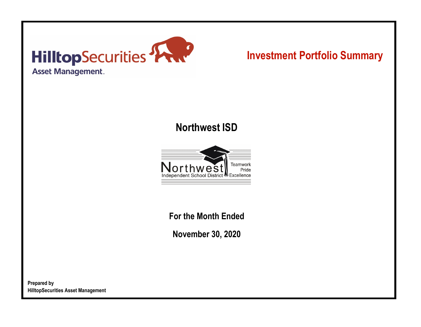

# **Investment Portfolio Summary**

## **Northwest ISD**



**For the Month Ended**

**November 30, 2020**

**Prepared by HilltopSecurities Asset Management**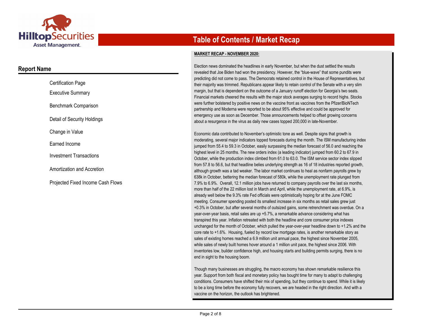

### **Report Name**

| <b>Certification Page</b>         |
|-----------------------------------|
| <b>Executive Summary</b>          |
| Benchmark Comparison              |
| Detail of Security Holdings       |
| Change in Value                   |
| Earned Income                     |
| <b>Investment Transactions</b>    |
| Amortization and Accretion        |
| Projected Fixed Income Cash Flows |

## **Table of Contents / Market Recap**

#### **MARKET RECAP - NOVEMBER 2020:**

Election news dominated the headlines in early November, but when the dust settled the results revealed that Joe Biden had won the presidency. However, the "blue-wave" that some pundits were predicting did not come to pass. The Democrats retained control in the House of Representatives, but their majority was trimmed. Republicans appear likely to retain control of the Senate with a very slim margin, but that is dependent on the outcome of a January runoff election for Georgia's two seats. Financial markets cheered the results with the major stock averages surging to record highs. Stocks were further bolstered by positive news on the vaccine front as vaccines from the Pfizer/BioNTech partnership and Moderna were reported to be about 95% effective and could be approved for emergency use as soon as December. Those announcements helped to offset growing concerns about a resurgence in the virus as daily new cases topped 200,000 in late-November.

Economic data contributed to November's optimistic tone as well. Despite signs that growth is moderating, several major indicators topped forecasts during the month. The ISM manufacturing index jumped from 55.4 to 59.3 in October, easily surpassing the median forecast of 56.0 and reaching the highest level in 25 months. The new orders index (a leading indicator) jumped from 60.2 to 67.9 in October, while the production index climbed from 61.0 to 63.0. The ISM service sector index slipped from 57.8 to 56.6, but that headline belies underlying strength as 16 of 18 industries reported growth, although growth was a tad weaker. The labor market continues to heal as nonfarm payrolls grew by 638k in October, bettering the median forecast of 580k, while the unemployment rate plunged from 7.9% to 6.9%. Overall, 12.1 million jobs have returned to company payrolls over the last six months, more than half of the 22 million lost in March and April, while the unemployment rate, at 6.9%, is already well below the 9.3% rate Fed officials were optimistically hoping for at the June FOMC meeting. Consumer spending posted its smallest increase in six months as retail sales grew just +0.3% in October, but after several months of outsized gains, some retrenchment was overdue. On a year-over-year basis, retail sales are up +5.7%, a remarkable advance considering what has transpired this year. Inflation retreated with both the headline and core consumer price indexes unchanged for the month of October, which pulled the year-over-year headline down to +1.2% and the core rate to +1.6%. Housing, fueled by record low mortgage rates, is another remarkable story as sales of existing homes reached a 6.9 million unit annual pace, the highest since November 2005, while sales of newly built homes hover around a 1 million unit pace, the highest since 2006. With inventories low, builder confidence high, and housing starts and building permits surging, there is no end in sight to the housing boom.

Though many businesses are struggling, the macro economy has shown remarkable resilience this year. Support from both fiscal and monetary policy has bought time for many to adapt to challenging conditions. Consumers have shifted their mix of spending, but they continue to spend. While it is likely to be a long time before the economy fully recovers, we are headed in the right direction. And with a vaccine on the horizon, the outlook has brightened.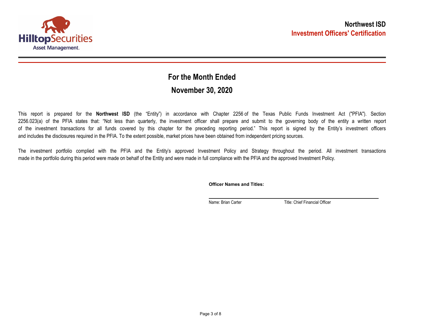

## **November 30, 2020 For the Month Ended**

This report is prepared for the **Northwest ISD** (the "Entity") in accordance with Chapter 2256 of the Texas Public Funds Investment Act ("PFIA"). Section 2256.023(a) of the PFIA states that: "Not less than quarterly, the investment officer shall prepare and submit to the governing body of the entity a written report of the investment transactions for all funds covered by this chapter for the preceding reporting period." This report is signed by the Entity's investment officers and includes the disclosures required in the PFIA. To the extent possible, market prices have been obtained from independent pricing sources.

The investment portfolio complied with the PFIA and the Entity's approved Investment Policy and Strategy throughout the period. All investment transactions made in the portfolio during this period were made on behalf of the Entity and were made in full compliance with the PFIA and the approved Investment Policy.

**Officer Names and Titles:**

Name: Brian Carter Title: Chief Financial Officer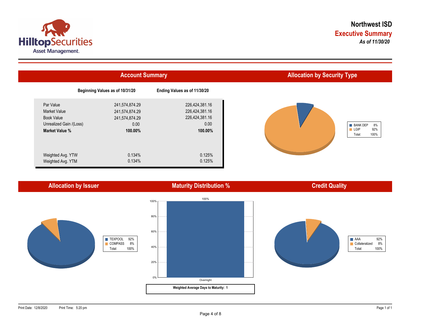

|                         | <b>Account Summary</b>          | <b>Allocation by Security Type</b> |                               |
|-------------------------|---------------------------------|------------------------------------|-------------------------------|
|                         | Beginning Values as of 10/31/20 | Ending Values as of 11/30/20       |                               |
| Par Value               | 241,574,874.29                  | 226,424,381.16                     |                               |
| <b>Market Value</b>     | 241,574,874.29                  | 226,424,381.16                     |                               |
| <b>Book Value</b>       | 241,574,874.29                  | 226,424,381.16                     |                               |
| Unrealized Gain /(Loss) | 0.00                            | 0.00                               | <b>BANK DEP</b>               |
| Market Value %          | 100.00%                         | 100.00%                            | $\blacksquare$ LGIP<br>Total: |
| Weighted Avg. YTW       | 0.134%                          | 0.125%                             |                               |
| Weighted Avg. YTM       | 0.134%                          | 0.125%                             |                               |

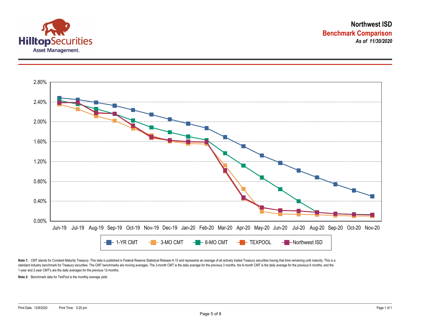



Note 1: CMT stands for Constant Maturity Treasury. This data is published in Federal Reserve Statistical Release H.15 and represents an average of all actively traded Treasury securities having that time remaining until ma standard industry benchmark for Treasury securities. The CMT benchmarks are moving averages. The 3-month CMT is the daily average for the previous 3 months, the 6-month CMT is the daily average for the previous 6 months, a 1-year and 2-year CMT's are the daily averages for the previous 12-months.

**Note 2:** Benchmark data for TexPool is the monthly average yield.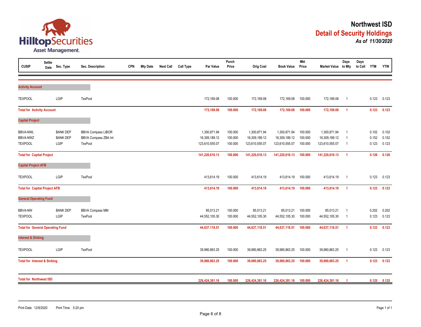

| <b>CUSIP</b>                            | <b>Settle</b><br>Date | Sec. Type       | Sec. Description          | <b>CPN</b> | <b>Mty Date</b> | <b>Next Call</b> | <b>Call Type</b> | Par Value      | Purch<br>Price | <b>Orig Cost</b> | <b>Book Value</b> | <b>Mkt</b><br>Price | Market Value to Mty | Days                    | Days<br>to Call | <b>YTM</b> | <b>YTW</b> |
|-----------------------------------------|-----------------------|-----------------|---------------------------|------------|-----------------|------------------|------------------|----------------|----------------|------------------|-------------------|---------------------|---------------------|-------------------------|-----------------|------------|------------|
|                                         |                       |                 |                           |            |                 |                  |                  |                |                |                  |                   |                     |                     |                         |                 |            |            |
| <b>Activity Account</b>                 |                       |                 |                           |            |                 |                  |                  |                |                |                  |                   |                     |                     |                         |                 |            |            |
| <b>TEXPOOL</b>                          |                       | LGIP            | TexPool                   |            |                 |                  |                  | 172,169.08     | 100.000        | 172,169.08       | 172,169.08        | 100.000             | 172,169.08          | $\overline{1}$          |                 | 0.123      | 0.123      |
| <b>Total for Activity Account</b>       |                       |                 |                           |            |                 |                  |                  | 172,169.08     | 100.000        | 172,169.08       | 172,169.08        | 100.000             | 172,169.08          | $\overline{1}$          |                 | 0.123      | 0.123      |
| <b>Capital Project</b>                  |                       |                 |                           |            |                 |                  |                  |                |                |                  |                   |                     |                     |                         |                 |            |            |
| <b>BBVA-NWL</b>                         |                       | <b>BANK DEP</b> | <b>BBVA Compass LIBOR</b> |            |                 |                  |                  | 1,300,871.94   | 100.000        | 1,300,871.94     | 1,300,871.94      | 100.000             | 1,300,871.94        | $\overline{1}$          |                 | 0.102      | 0.102      |
| BBVA-NWZ                                |                       | <b>BANK DEP</b> | BBVA Compass ZBA Int      |            |                 |                  |                  | 16,309,189.12  | 100.000        | 16,309,189.12    | 16,309,189.12     | 100.000             | 16,309,189.12       | $\overline{1}$          |                 | 0.152      | 0.152      |
| <b>TEXPOOL</b>                          |                       | LGIP            | <b>TexPool</b>            |            |                 |                  |                  | 123,610,555.07 | 100.000        | 123,610,555.07   | 123,610,555.07    | 100.000             | 123,610,555.07      | $\overline{1}$          |                 | 0.123      | 0.123      |
| <b>Total for Capital Project</b>        |                       |                 |                           |            |                 |                  |                  | 141,220,616.13 | 100.000        | 141,220,616.13   | 141,220,616.13    | 100.000             | 141,220,616.13      | $\overline{1}$          |                 | 0.126      | 0.126      |
| <b>Capital Project AFB</b>              |                       |                 |                           |            |                 |                  |                  |                |                |                  |                   |                     |                     |                         |                 |            |            |
| <b>TEXPOOL</b>                          |                       | LGIP            | <b>TexPool</b>            |            |                 |                  |                  | 413,614.19     | 100.000        | 413,614.19       | 413,614.19        | 100.000             | 413,614.19          | $\overline{1}$          |                 | 0.123      | 0.123      |
| <b>Total for Capital Project AFB</b>    |                       |                 |                           |            |                 |                  |                  | 413,614.19     | 100.000        | 413,614.19       | 413,614.19        | 100.000             | 413,614.19          | $\overline{1}$          |                 | 0.123      | 0.123      |
| <b>General Operating Fund</b>           |                       |                 |                           |            |                 |                  |                  |                |                |                  |                   |                     |                     |                         |                 |            |            |
| <b>BBVA-NW</b>                          |                       | <b>BANK DEP</b> | <b>BBVA Compass MM</b>    |            |                 |                  |                  | 85,013.21      | 100.000        | 85,013.21        | 85,013.21         | 100.000             | 85,013.21           | $\overline{1}$          |                 | 0.202      | 0.202      |
| <b>TEXPOOL</b>                          |                       | LGIP            | <b>TexPool</b>            |            |                 |                  |                  | 44,552,105.30  | 100.000        | 44,552,105.30    | 44,552,105.30     | 100.000             | 44,552,105.30       | $\overline{\mathbf{1}}$ |                 | 0.123      | 0.123      |
| <b>Total for General Operating Fund</b> |                       |                 |                           |            |                 |                  |                  | 44,637,118.51  | 100.000        | 44,637,118.51    | 44,637,118.51     | 100.000             | 44,637,118.51       | $\overline{1}$          |                 | 0.123      | 0.123      |
| <b>Interest &amp; Sinking</b>           |                       |                 |                           |            |                 |                  |                  |                |                |                  |                   |                     |                     |                         |                 |            |            |
| <b>TEXPOOL</b>                          |                       | LGIP            | <b>TexPool</b>            |            |                 |                  |                  | 39,980,863.25  | 100.000        | 39,980,863.25    | 39,980,863.25     | 100.000             | 39,980,863.25       | - 1                     |                 | 0.123      | 0.123      |
| <b>Total for Interest &amp; Sinking</b> |                       |                 |                           |            |                 |                  |                  | 39,980,863.25  | 100.000        | 39,980,863.25    | 39,980,863.25     | 100.000             | 39,980,863.25       | $\overline{1}$          |                 | 0.123      | 0.123      |
| <b>Total for Northwest ISD</b>          |                       |                 |                           |            |                 |                  |                  |                |                |                  |                   |                     |                     |                         |                 |            |            |
|                                         |                       |                 |                           |            |                 |                  |                  | 226,424,381.16 | 100.000        | 226,424,381.16   | 226,424,381.16    | 100.000             | 226,424,381.16      | $\overline{1}$          |                 | 0.125      | 0.125      |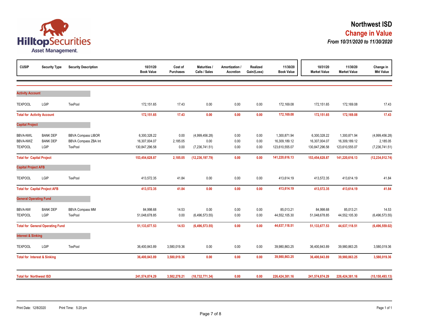

| <b>CUSIP</b>                                  | <b>Security Type</b>                       | <b>Security Description</b>                                         | 10/31/20<br><b>Book Value</b>                   | Cost of<br><b>Purchases</b> | Maturities<br>Calls / Sales              | Amortization /<br><b>Accretion</b> | Realized<br>Gain/(Loss) | 11/30/20<br><b>Book Value</b>                   | 10/31/20<br><b>Market Value</b>                 | 11/30/20<br><b>Market Value</b>                 | Change in<br><b>Mkt Value</b>                |
|-----------------------------------------------|--------------------------------------------|---------------------------------------------------------------------|-------------------------------------------------|-----------------------------|------------------------------------------|------------------------------------|-------------------------|-------------------------------------------------|-------------------------------------------------|-------------------------------------------------|----------------------------------------------|
| <b>Activity Account</b>                       |                                            |                                                                     |                                                 |                             |                                          |                                    |                         |                                                 |                                                 |                                                 |                                              |
| <b>TEXPOOL</b>                                | LGIP                                       | TexPool                                                             | 172,151.65                                      | 17.43                       | 0.00                                     | 0.00                               | 0.00                    | 172,169.08                                      | 172,151.65                                      | 172,169.08                                      | 17.43                                        |
| <b>Total for Activity Account</b>             |                                            |                                                                     | 172,151.65                                      | 17.43                       | 0.00                                     | 0.00                               | 0.00                    | 172,169.08                                      | 172,151.65                                      | 172,169.08                                      | 17.43                                        |
| <b>Capital Project</b>                        |                                            |                                                                     |                                                 |                             |                                          |                                    |                         |                                                 |                                                 |                                                 |                                              |
| <b>BBVA-NWL</b><br>BBVA-NWZ<br><b>TEXPOOL</b> | <b>BANK DEP</b><br><b>BANK DEP</b><br>LGIP | <b>BBVA Compass LIBOR</b><br><b>BBVA Compass ZBA Int</b><br>TexPool | 6,300,328.22<br>16,307,004.07<br>130,847,296.58 | 0.00<br>2,185.05<br>0.00    | (4,999,456.28)<br>0.00<br>(7,236,741.51) | 0.00<br>0.00<br>0.00               | 0.00<br>0.00<br>0.00    | 1,300,871.94<br>16,309,189.12<br>123,610,555.07 | 6,300,328.22<br>16,307,004.07<br>130,847,296.58 | 1,300,871.94<br>16,309,189.12<br>123,610,555.07 | (4,999,456.28)<br>2,185.05<br>(7,236,741.51) |
| <b>Total for Capital Project</b>              |                                            |                                                                     | 153,454,628.87                                  | 2,185.05                    | (12, 236, 197.79)                        | 0.00                               | 0.00                    | 141,220,616.13                                  | 153,454,628.87                                  | 141,220,616.13                                  | (12, 234, 012.74)                            |
| <b>Capital Project AFB</b>                    |                                            |                                                                     |                                                 |                             |                                          |                                    |                         |                                                 |                                                 |                                                 |                                              |
| <b>TEXPOOL</b>                                | LGIP                                       | TexPool                                                             | 413,572.35                                      | 41.84                       | 0.00                                     | 0.00                               | 0.00                    | 413,614.19                                      | 413,572.35                                      | 413,614.19                                      | 41.84                                        |
|                                               | <b>Total for Capital Project AFB</b>       |                                                                     | 413,572.35                                      | 41.84                       | 0.00                                     | 0.00                               | 0.00                    | 413,614.19                                      | 413,572.35                                      | 413,614.19                                      | 41.84                                        |
| <b>General Operating Fund</b>                 |                                            |                                                                     |                                                 |                             |                                          |                                    |                         |                                                 |                                                 |                                                 |                                              |
| <b>BBVA-NW</b><br><b>TEXPOOL</b>              | <b>BANK DEP</b><br>LGIP                    | <b>BBVA Compass MM</b><br>TexPool                                   | 84,998.68<br>51,048,678.85                      | 14.53<br>0.00               | 0.00<br>(6,496,573.55)                   | 0.00<br>0.00                       | 0.00<br>0.00            | 85,013.21<br>44,552,105.30                      | 84,998.68<br>51,048,678.85                      | 85,013.21<br>44,552,105.30                      | 14.53<br>(6, 496, 573.55)                    |
|                                               | <b>Total for General Operating Fund</b>    |                                                                     | 51, 133, 677.53                                 | 14.53                       | (6, 496, 573.55)                         | 0.00                               | 0.00                    | 44,637,118.51                                   | 51, 133, 677.53                                 | 44,637,118.51                                   | (6,496,559.02)                               |
| <b>Interest &amp; Sinking</b>                 |                                            |                                                                     |                                                 |                             |                                          |                                    |                         |                                                 |                                                 |                                                 |                                              |
| <b>TEXPOOL</b>                                | LGIP                                       | TexPool                                                             | 36,400,843.89                                   | 3,580,019.36                | 0.00                                     | 0.00                               | 0.00                    | 39,980,863.25                                   | 36,400,843.89                                   | 39,980,863.25                                   | 3,580,019.36                                 |
| <b>Total for Interest &amp; Sinking</b>       |                                            |                                                                     | 36,400,843.89                                   | 3,580,019.36                | 0.00                                     | 0.00                               | 0.00                    | 39,980,863.25                                   | 36,400,843.89                                   | 39,980,863.25                                   | 3,580,019.36                                 |
| <b>Total for Northwest ISD</b>                |                                            |                                                                     | 241,574,874.29                                  | 3,582,278.21                | (18, 732, 771.34)                        | 0.00                               | 0.00                    | 226,424,381.16                                  | 241,574,874.29                                  | 226,424,381.16                                  | (15, 150, 493.13)                            |